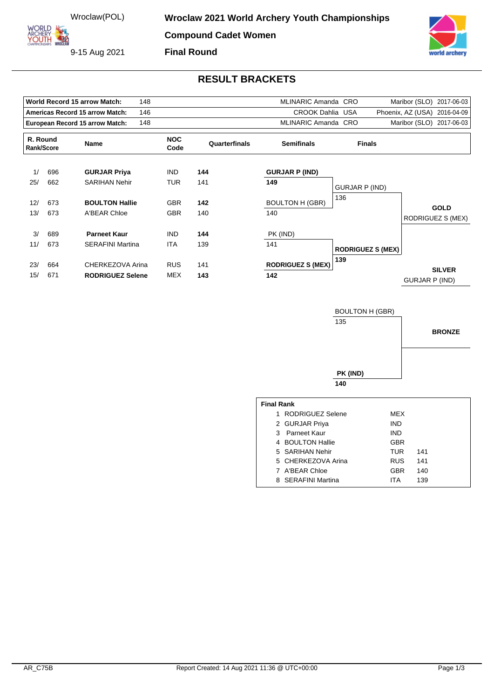ORLD ARCHERY

9-15 Aug 2021



## **RESULT BRACKETS**

| <b>World Record 15 arrow Match:</b><br>148    |     |                         |                    |               | MLINARIC Amanda CRO      |                          | Maribor (SLO)<br>2017-06-03      |
|-----------------------------------------------|-----|-------------------------|--------------------|---------------|--------------------------|--------------------------|----------------------------------|
| <b>Americas Record 15 arrow Match:</b><br>146 |     |                         |                    |               | <b>CROOK Dahlia USA</b>  |                          | Phoenix, AZ (USA)<br>2016-04-09  |
| European Record 15 arrow Match:<br>148        |     |                         |                    |               | MLINARIC Amanda CRO      |                          | Maribor (SLO)<br>2017-06-03      |
| R. Round<br>Rank/Score                        |     | Name                    | <b>NOC</b><br>Code | Quarterfinals | <b>Semifinals</b>        | <b>Finals</b>            |                                  |
| 1/                                            | 696 | <b>GURJAR Priya</b>     | <b>IND</b>         | 144           | <b>GURJAR P (IND)</b>    |                          |                                  |
| 25/                                           | 662 | <b>SARIHAN Nehir</b>    | <b>TUR</b>         | 141           | 149                      | GURJAR P (IND)           |                                  |
| 12/                                           | 673 | <b>BOULTON Hallie</b>   | <b>GBR</b>         | 142           | <b>BOULTON H (GBR)</b>   | 136                      |                                  |
| 13/                                           | 673 | A'BEAR Chloe            | <b>GBR</b>         | 140           | 140                      |                          | <b>GOLD</b><br>RODRIGUEZ S (MEX) |
| 3/                                            | 689 | <b>Parneet Kaur</b>     | <b>IND</b>         | 144           | PK (IND)                 |                          |                                  |
| 11/                                           | 673 | <b>SERAFINI Martina</b> | <b>ITA</b>         | 139           | 141                      | <b>RODRIGUEZ S (MEX)</b> |                                  |
| 23/                                           | 664 | CHERKEZOVA Arina        | <b>RUS</b>         | 141           | <b>RODRIGUEZ S (MEX)</b> | 139                      | <b>SILVER</b>                    |
| 15/                                           | 671 | <b>RODRIGUEZ Selene</b> | <b>MEX</b>         | 143           | 142                      |                          | <b>GURJAR P (IND)</b>            |



8 SERAFINI Martina **ITA** 139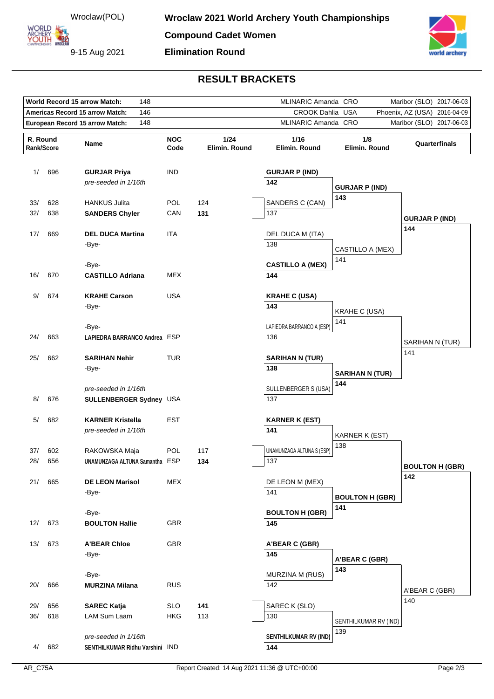Wroclaw(POL)

**ORLD** ARCHERY<br>YOUTH 422

9-15 Aug 2021



## **RESULT BRACKETS**

|                                               | World Record 15 arrow Match:<br>148 |                                                         |                    |                       |                                                            | MLINARIC Amanda CRO<br>Maribor (SLO)<br>2017-06-03 |                        |  |
|-----------------------------------------------|-------------------------------------|---------------------------------------------------------|--------------------|-----------------------|------------------------------------------------------------|----------------------------------------------------|------------------------|--|
| <b>Americas Record 15 arrow Match:</b><br>146 |                                     |                                                         |                    |                       | <b>CROOK Dahlia USA</b><br>Phoenix, AZ (USA)<br>2016-04-09 |                                                    |                        |  |
|                                               |                                     | 148<br>European Record 15 arrow Match:                  |                    | MLINARIC Amanda CRO   |                                                            | Maribor (SLO) 2017-06-03                           |                        |  |
| R. Round<br>Rank/Score                        |                                     | Name                                                    | <b>NOC</b><br>Code | 1/24<br>Elimin. Round | 1/16<br>Elimin. Round                                      | 1/8<br>Elimin. Round                               | Quarterfinals          |  |
| 1/                                            | 696                                 | <b>GURJAR Priya</b><br>pre-seeded in 1/16th             | <b>IND</b>         |                       | <b>GURJAR P (IND)</b><br>142                               | <b>GURJAR P (IND)</b>                              |                        |  |
| 33/                                           | 628                                 | <b>HANKUS Julita</b>                                    | <b>POL</b>         | 124                   | SANDERS C (CAN)                                            | 143                                                |                        |  |
| 32/                                           | 638                                 | <b>SANDERS Chyler</b>                                   | CAN                | 131                   | 137                                                        |                                                    | <b>GURJAR P (IND)</b>  |  |
| 17/                                           | 669                                 | <b>DEL DUCA Martina</b><br>-Bye-                        | ITA                |                       | DEL DUCA M (ITA)<br>138                                    | CASTILLO A (MEX)<br>141                            | 144                    |  |
|                                               |                                     | -Bye-                                                   |                    |                       | <b>CASTILLO A (MEX)</b>                                    |                                                    |                        |  |
| 16/                                           | 670                                 | <b>CASTILLO Adriana</b>                                 | <b>MEX</b>         |                       | 144                                                        |                                                    |                        |  |
| 9/                                            | 674                                 | <b>KRAHE Carson</b><br>-Bye-<br>-Bye-                   | <b>USA</b>         |                       | <b>KRAHE C (USA)</b><br>143<br>LAPIEDRA BARRANCO A (ESP)   | <b>KRAHE C (USA)</b><br>141                        |                        |  |
| 24/                                           | 663                                 | LAPIEDRA BARRANCO Andrea ESP                            |                    |                       | 136                                                        |                                                    |                        |  |
|                                               |                                     |                                                         |                    |                       |                                                            |                                                    | SARIHAN N (TUR)        |  |
| 25/                                           | 662                                 | <b>SARIHAN Nehir</b><br>-Bye-                           | <b>TUR</b>         |                       | <b>SARIHAN N (TUR)</b><br>138                              | <b>SARIHAN N (TUR)</b>                             | 141                    |  |
| 8/                                            | 676                                 | pre-seeded in 1/16th<br>SULLENBERGER Sydney USA         |                    |                       | SULLENBERGER S (USA)<br>137                                | 144                                                |                        |  |
| 5/                                            | 682                                 | <b>KARNER Kristella</b><br>pre-seeded in 1/16th         | <b>EST</b>         |                       | <b>KARNER K (EST)</b><br>141                               | <b>KARNER K (EST)</b>                              |                        |  |
| 37/                                           | 602                                 | RAKOWSKA Maja                                           | POL                | 117                   | UNAMUNZAGA ALTUNA S (ESP)                                  | 138                                                |                        |  |
| 28/                                           | 656                                 | UNAMUNZAGA ALTUNA Samantha ESP                          |                    | 134                   | 137                                                        |                                                    | <b>BOULTON H (GBR)</b> |  |
| 21/                                           | 665                                 | <b>DE LEON Marisol</b><br>-Bye-                         | <b>MEX</b>         |                       | DE LEON M (MEX)<br>141                                     | <b>BOULTON H (GBR)</b>                             | 142                    |  |
|                                               |                                     | -Bye-                                                   |                    |                       | <b>BOULTON H (GBR)</b>                                     | 141                                                |                        |  |
| 12/                                           | 673                                 | <b>BOULTON Hallie</b>                                   | GBR                |                       | 145                                                        |                                                    |                        |  |
| 13/                                           | 673                                 | <b>A'BEAR Chloe</b><br>-Bye-                            | GBR                |                       | A'BEAR C (GBR)<br>145                                      | A'BEAR C (GBR)                                     |                        |  |
|                                               |                                     | -Bye-                                                   |                    |                       | MURZINA M (RUS)                                            | 143                                                |                        |  |
| 20/                                           | 666                                 | <b>MURZINA Milana</b>                                   | <b>RUS</b>         |                       | 142                                                        |                                                    | A'BEAR C (GBR)         |  |
|                                               |                                     |                                                         |                    |                       |                                                            |                                                    | 140                    |  |
| 29/                                           | 656                                 | <b>SAREC Katja</b>                                      | <b>SLO</b>         | 141                   | SAREC K (SLO)                                              |                                                    |                        |  |
| 36/                                           | 618                                 | LAM Sum Laam                                            | <b>HKG</b>         | 113                   | 130                                                        | SENTHILKUMAR RV (IND)                              |                        |  |
| 4/                                            | 682                                 | pre-seeded in 1/16th<br>SENTHILKUMAR Ridhu Varshini IND |                    |                       | SENTHILKUMAR RV (IND)<br>144                               | 139                                                |                        |  |